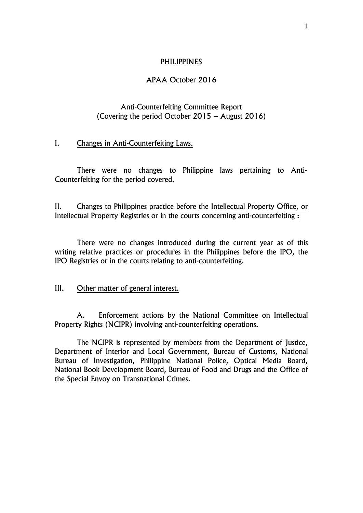## PHILIPPINES

# APAA October 2016

# Anti-Counterfeiting Committee Report (Covering the period October 2015 – August 2016)

## I. Changes in Anti-Counterfeiting Laws.

There were no changes to Philippine laws pertaining to Anti-Counterfeiting for the period covered.

II. Changes to Philippines practice before the Intellectual Property Office, or Intellectual Property Registries or in the courts concerning anti-counterfeiting :

There were no changes introduced during the current year as of this writing relative practices or procedures in the Philippines before the IPO, the IPO Registries or in the courts relating to anti-counterfeiting.

## III. Other matter of general interest.

A. Enforcement actions by the National Committee on Intellectual Property Rights (NCIPR) involving anti-counterfeiting operations.

The NCIPR is represented by members from the Department of Justice, Department of Interior and Local Government, Bureau of Customs, National Bureau of Investigation, Philippine National Police, Optical Media Board, National Book Development Board, Bureau of Food and Drugs and the Office of the Special Envoy on Transnational Crimes.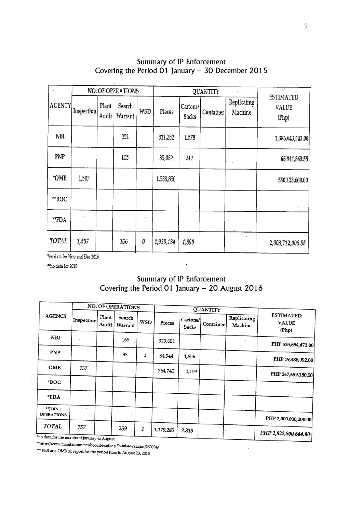| <b>AGENCY</b> | NO. OF OPERATIONS |                |                   |     |           | <b>QUANTITY</b>   | ╱         |                        |                                    |
|---------------|-------------------|----------------|-------------------|-----|-----------|-------------------|-----------|------------------------|------------------------------------|
|               | Inspection        | Plant<br>Audit | Search<br>Warrant | WSD | Pieces    | Cartons/<br>Sacks | Container | Replicating<br>Machine | <b>ESTIMATED</b><br>VALUE<br>(Php) |
| NBI           |                   |                | 251               |     | 311,252   | 1,578             |           |                        | 1,386,643,543.00                   |
| PNP           |                   |                | 105               |     | 35,082    | 312               |           |                        | 66,944,863.55                      |
| *OMB          | 1,507             |                |                   |     | 1,588,850 |                   |           |                        | 550,123,600.00                     |
| **BOC         |                   |                |                   |     |           |                   |           |                        |                                    |
| $*$ FDA       |                   |                |                   |     |           |                   |           |                        |                                    |
| TOTAL         | 1,507             |                | 356               | 0   | 1,935,184 | 1,890             |           |                        | 2,003,712,006.55                   |

# Summary of IP Enforcement Covering the Period 01 January – 30 December 2015

 $\overline{\phantom{a}}$ 

"no data for Nov and Dec 2015

\*\*no data for 2015

# Summary of IP Enforcement Covering the Period 01 January – 20 August 2016

|                                                              |            |                | <b>NO. OF OPERATIONS</b> |     | <b>QUANTITY</b> |                   |           |                        |                                           |
|--------------------------------------------------------------|------------|----------------|--------------------------|-----|-----------------|-------------------|-----------|------------------------|-------------------------------------------|
| <b>AGENCY</b>                                                | Inspection | Plant<br>Audit | Search<br>Warrant        | WSD | Pieces          | Cartons/<br>Sacks | Container | Replicating<br>Machine | <b>ESTIMATED</b><br><b>VALUE</b><br>(Php) |
| <b>NBI</b>                                                   |            |                | 166                      |     | 329,601         |                   |           |                        | PHP 535,654,472.00                        |
| PNP                                                          |            |                | 93                       | 1   | 84,944          | 1,656             |           |                        | PHP 19,486,992.00                         |
| OMB                                                          | 757        |                |                          |     | 764,740         | 1,159             |           |                        | PHP 267,659,180.00                        |
| *BOC                                                         |            |                |                          |     |                 |                   |           |                        |                                           |
| *FDA                                                         |            |                |                          |     |                 |                   |           |                        |                                           |
| **JOINT<br><b>OPERATIONS</b>                                 |            |                |                          |     |                 |                   |           |                        | PHP 2,000,000,000.00                      |
| TOTAL                                                        | 757        |                | 259                      | 1   | 1,179,285       | 2,815             |           |                        | PHP 2,822,800,644.00                      |
| *no data for the months of January to August<br>$2.41 - 1.7$ |            |                |                          |     |                 |                   |           |                        |                                           |

 $\bar{z}$ 

 $\epsilon$ 

\*\*http://www.manilatimes.net/boc-nbi-seize-p2b-fake-watches/260394/<br>\*\*\* NPI and ONE

WHY NBI and OMB no report for the period June to August 23, 2016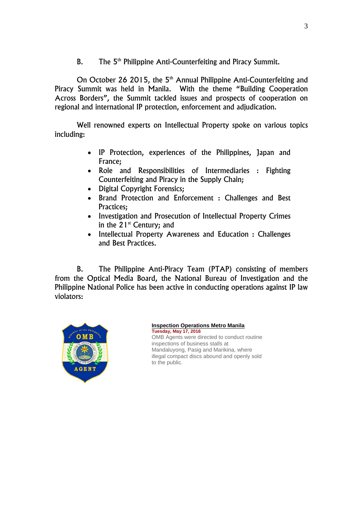B. The 5<sup>th</sup> Philippine Anti-Counterfeiting and Piracy Summit.

On October 26 2015, the 5<sup>th</sup> Annual Philippine Anti-Counterfeiting and Piracy Summit was held in Manila. With the theme "Building Cooperation Across Borders", the Summit tackled issues and prospects of cooperation on regional and international IP protection, enforcement and adjudication.

Well renowned experts on Intellectual Property spoke on various topics including:

- IP Protection, experiences of the Philippines, Japan and France;
- Role and Responsibilities of Intermediaries : Fighting Counterfeiting and Piracy in the Supply Chain;
- Digital Copyright Forensics;
- Brand Protection and Enforcement : Challenges and Best Practices;
- Investigation and Prosecution of Intellectual Property Crimes in the  $21^{st}$  Century; and
- Intellectual Property Awareness and Education : Challenges and Best Practices.

B. The Philippine Anti-Piracy Team (PTAP) consisting of members from the Optical Media Board, the National Bureau of Investigation and the Philippine National Police has been active in conducting operations against IP law violators:



## **[Inspection Operations Metro Manila](http://www.papt.org.ph/news.aspx?id=2&news_id=162&paging=1) Tuesday, May 17, 2016** OMB Agents were directed to conduct routine

inspections of business stalls at Mandaluyong, Pasig and Marikina, where illegal compact discs abound and openly sold to the public.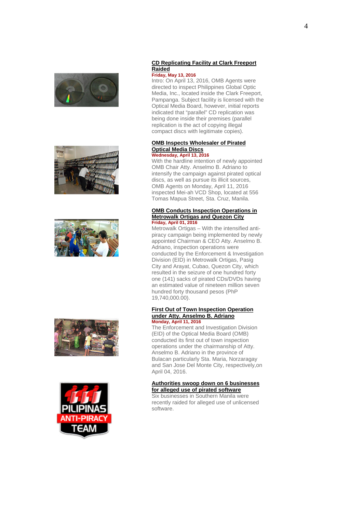









#### **[CD Replicating Facility at Clark Freeport](http://www.papt.org.ph/news.aspx?id=2&news_id=163&paging=1)  [Raided](http://www.papt.org.ph/news.aspx?id=2&news_id=163&paging=1) Friday, May 13, 2016**

Intro: On April 13, 2016, OMB Agents were directed to inspect Philippines Global Optic Media, Inc., located inside the Clark Freeport, Pampanga. Subject facility is licensed with the Optical Media Board, however, initial reports indicated that "parallel" CD replication was being done inside their premises (parallel replication is the act of copying illegal compact discs with legitimate copies).

#### **[OMB Inspects Wholesaler of Pirated](http://www.papt.org.ph/news.aspx?id=2&news_id=164&paging=1)  [Optical Media Discs](http://www.papt.org.ph/news.aspx?id=2&news_id=164&paging=1) Wednesday, April 13, 2016**

With the hardline intention of newly appointed OMB Chair Atty. Anselmo B. Adriano to intensify the campaign against pirated optical discs, as well as pursue its illicit sources, OMB Agents on Monday, April 11, 2016 inspected Mei-ah VCD Shop, located at 556 Tomas Mapua Street, Sta. Cruz, Manila.

#### **[OMB Conducts Inspection Operations in](http://www.papt.org.ph/news.aspx?id=2&news_id=165&paging=1)  [Metrowalk Ortigas and Quezon City](http://www.papt.org.ph/news.aspx?id=2&news_id=165&paging=1) Friday, April 01, 2016**

Metrowalk Ortigas – With the intensified antipiracy campaign being implemented by newly appointed Chairman & CEO Atty. Anselmo B. Adriano, inspection operations were conducted by the Enforcement & Investigation Division (EID) in Metrowalk Ortigas, Pasig City and Arayat, Cubao, Quezon City, which resulted in the seizure of one hundred forty one (141) sacks of pirated CDs/DVDs having an estimated value of nineteen million seven hundred forty thousand pesos (PhP 19,740,000.00).

#### **[First Out of Town Inspection Operation](http://www.papt.org.ph/news.aspx?id=2&news_id=166&paging=1)  [under Atty. Anselmo B. Adriano](http://www.papt.org.ph/news.aspx?id=2&news_id=166&paging=1) Monday, April 11, 2016**

The Enforcement and Investigation Division (EID) of the Optical Media Board (OMB) conducted its first out of town inspection operations under the chairmanship of Atty. Anselmo B. Adriano in the province of Bulacan particularly Sta. Maria, Norzaragay and San Jose Del Monte City, respectively,on April 04, 2016.

#### **[Authorities swoop down on 6 businesses](http://www.papt.org.ph/news.aspx?id=2&news_id=160&paging=1)  [for alleged use of pirated software](http://www.papt.org.ph/news.aspx?id=2&news_id=160&paging=1)**

Six businesses in Southern Manila were recently raided for alleged use of unlicensed software.